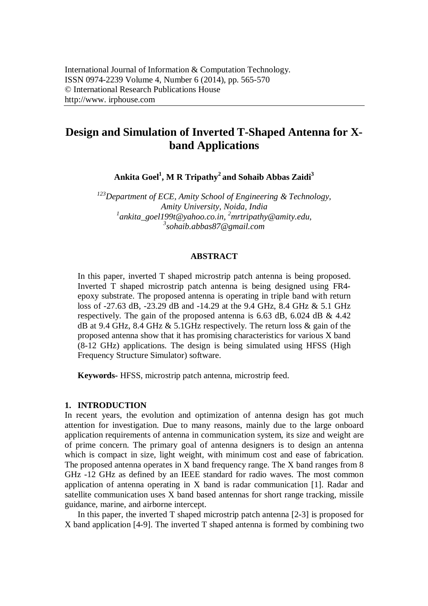# **Design and Simulation of Inverted T-Shaped Antenna for Xband Applications**

**Ankita Goel<sup>1</sup> , M R Tripathy<sup>2</sup>and Sohaib Abbas Zaidi<sup>3</sup>**

*Department of ECE, Amity School of Engineering & Technology, Amity University, Noida, India ankita\_goel199t@yahoo.co.in, <sup>2</sup>mrtripathy@amity.edu, sohaib.abbas87@gmail.com*

#### **ABSTRACT**

In this paper, inverted T shaped microstrip patch antenna is being proposed. Inverted T shaped microstrip patch antenna is being designed using FR4 epoxy substrate. The proposed antenna is operating in triple band with return loss of -27.63 dB, -23.29 dB and -14.29 at the 9.4 GHz, 8.4 GHz & 5.1 GHz respectively. The gain of the proposed antenna is 6.63 dB, 6.024 dB & 4.42 dB at 9.4 GHz, 8.4 GHz  $\&$  5.1 GHz respectively. The return loss  $\&$  gain of the proposed antenna show that it has promising characteristics for various X band (8-12 GHz) applications. The design is being simulated using HFSS (High Frequency Structure Simulator) software.

**Keywords-** HFSS, microstrip patch antenna, microstrip feed.

#### **1. INTRODUCTION**

In recent years, the evolution and optimization of antenna design has got much attention for investigation. Due to many reasons, mainly due to the large onboard application requirements of antenna in communication system, its size and weight are of prime concern. The primary goal of antenna designers is to design an antenna which is compact in size, light weight, with minimum cost and ease of fabrication. The proposed antenna operates in X band frequency range. The X band ranges from 8 GHz -12 GHz as defined by an IEEE standard for radio waves. The most common application of antenna operating in X band is radar communication [1]. Radar and satellite communication uses X band based antennas for short range tracking, missile guidance, marine, and airborne intercept.

In this paper, the inverted T shaped microstrip patch antenna [2-3] is proposed for X band application [4-9]. The inverted T shaped antenna is formed by combining two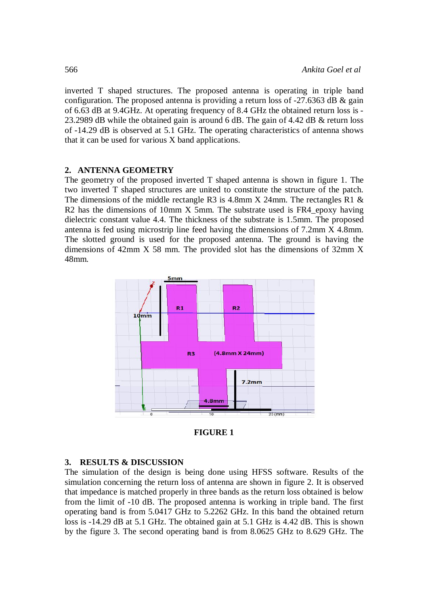inverted T shaped structures. The proposed antenna is operating in triple band configuration. The proposed antenna is providing a return loss of -27.6363 dB & gain of 6.63 dB at 9.4GHz. At operating frequency of 8.4 GHz the obtained return loss is - 23.2989 dB while the obtained gain is around 6 dB. The gain of 4.42 dB & return loss of -14.29 dB is observed at 5.1 GHz. The operating characteristics of antenna shows that it can be used for various X band applications.

### **2. ANTENNA GEOMETRY**

The geometry of the proposed inverted T shaped antenna is shown in figure 1. The two inverted T shaped structures are united to constitute the structure of the patch. The dimensions of the middle rectangle R3 is 4.8mm X 24mm. The rectangles R1 & R2 has the dimensions of 10mm X 5mm. The substrate used is FR4 epoxy having dielectric constant value 4.4. The thickness of the substrate is 1.5mm. The proposed antenna is fed using microstrip line feed having the dimensions of 7.2mm X 4.8mm. The slotted ground is used for the proposed antenna. The ground is having the dimensions of 42mm X 58 mm. The provided slot has the dimensions of 32mm X 48mm.



**FIGURE 1**

### **3. RESULTS & DISCUSSION**

The simulation of the design is being done using HFSS software. Results of the simulation concerning the return loss of antenna are shown in figure 2. It is observed that impedance is matched properly in three bands as the return loss obtained is below from the limit of -10 dB. The proposed antenna is working in triple band. The first operating band is from 5.0417 GHz to 5.2262 GHz. In this band the obtained return loss is -14.29 dB at 5.1 GHz. The obtained gain at 5.1 GHz is 4.42 dB. This is shown by the figure 3. The second operating band is from 8.0625 GHz to 8.629 GHz. The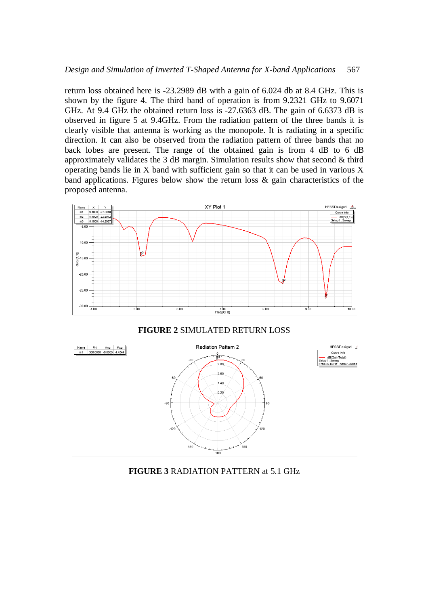return loss obtained here is -23.2989 dB with a gain of 6.024 db at 8.4 GHz. This is shown by the figure 4. The third band of operation is from 9.2321 GHz to 9.6071 GHz. At 9.4 GHz the obtained return loss is -27.6363 dB. The gain of 6.6373 dB is observed in figure 5 at 9.4GHz. From the radiation pattern of the three bands it is clearly visible that antenna is working as the monopole. It is radiating in a specific direction. It can also be observed from the radiation pattern of three bands that no back lobes are present. The range of the obtained gain is from 4 dB to 6 dB approximately validates the 3 dB margin. Simulation results show that second  $\&$  third operating bands lie in X band with sufficient gain so that it can be used in various X band applications. Figures below show the return loss & gain characteristics of the proposed antenna.



**FIGURE 2** SIMULATED RETURN LOSS



**FIGURE 3** RADIATION PATTERN at 5.1 GHz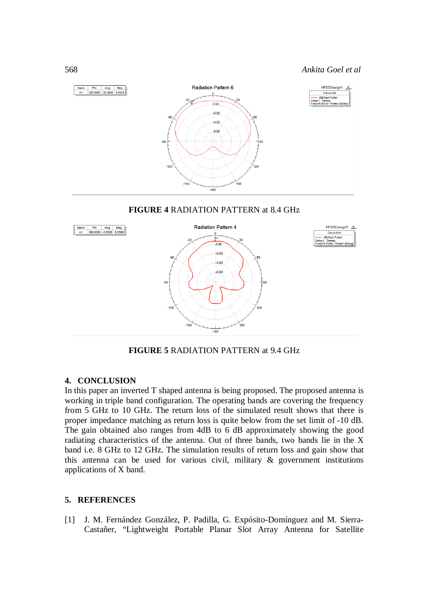



**FIGURE 5** RADIATION PATTERN at 9.4 GHz

# **4. CONCLUSION**

In this paper an inverted T shaped antenna is being proposed. The proposed antenna is working in triple band configuration. The operating bands are covering the frequency from 5 GHz to 10 GHz. The return loss of the simulated result shows that there is proper impedance matching as return loss is quite below from the set limit of -10 dB. The gain obtained also ranges from 4dB to 6 dB approximately showing the good radiating characteristics of the antenna. Out of three bands, two bands lie in the X band i.e. 8 GHz to 12 GHz. The simulation results of return loss and gain show that this antenna can be used for various civil, military & government institutions applications of X band.

## **5. REFERENCES**

[1] J. M. Fernández González, P. Padilla, G. Expósito-Domínguez and M. Sierra-Castañer, "Lightweight Portable Planar Slot Array Antenna for Satellite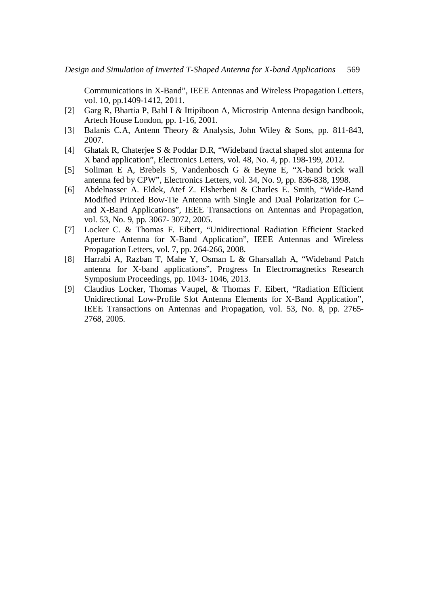Communications in X-Band", IEEE Antennas and Wireless Propagation Letters, vol. 10, pp.1409-1412, 2011.

- [2] Garg R, Bhartia P, Bahl I & Ittipiboon A, Microstrip Antenna design handbook, Artech House London, pp. 1-16, 2001.
- [3] Balanis C.A, Antenn Theory & Analysis, John Wiley & Sons, pp. 811-843, 2007.
- [4] Ghatak R, Chaterjee S & Poddar D.R, "Wideband fractal shaped slot antenna for X band application", Electronics Letters, vol. 48, No. 4, pp. 198-199, 2012.
- [5] Soliman E A, Brebels S, Vandenbosch G & Beyne E, "X-band brick wall antenna fed by CPW", Electronics Letters, vol. 34, No. 9, pp. 836-838, 1998.
- [6] Abdelnasser A. Eldek, Atef Z. Elsherbeni & Charles E. Smith, "Wide-Band Modified Printed Bow-Tie Antenna with Single and Dual Polarization for C– and X-Band Applications", IEEE Transactions on Antennas and Propagation, vol. 53, No. 9, pp. 3067- 3072, 2005.
- [7] Locker C. & Thomas F. Eibert, "Unidirectional Radiation Efficient Stacked Aperture Antenna for X-Band Application", IEEE Antennas and Wireless Propagation Letters, vol. 7, pp. 264-266, 2008.
- [8] Harrabi A, Razban T, Mahe Y, Osman L & Gharsallah A, "Wideband Patch antenna for X-band applications", Progress In Electromagnetics Research Symposium Proceedings, pp. 1043- 1046, 2013.
- [9] Claudius Locker, Thomas Vaupel, & Thomas F. Eibert, "Radiation Efficient Unidirectional Low-Profile Slot Antenna Elements for X-Band Application", IEEE Transactions on Antennas and Propagation, vol. 53, No. 8, pp. 2765- 2768, 2005.